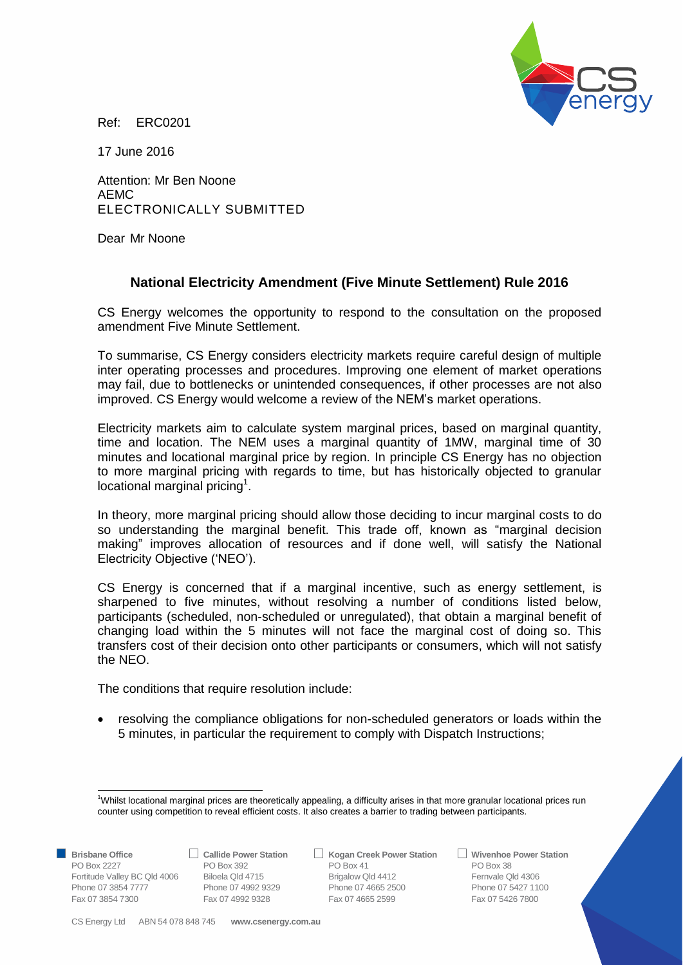

Ref: ERC0201

17 June 2016

Attention: Mr Ben Noone AEMC ELECTRONICALLY SUBMITTED

Dear Mr Noone

## **National Electricity Amendment (Five Minute Settlement) Rule 2016**

CS Energy welcomes the opportunity to respond to the consultation on the proposed amendment Five Minute Settlement.

To summarise, CS Energy considers electricity markets require careful design of multiple inter operating processes and procedures. Improving one element of market operations may fail, due to bottlenecks or unintended consequences, if other processes are not also improved. CS Energy would welcome a review of the NEM's market operations.

Electricity markets aim to calculate system marginal prices, based on marginal quantity, time and location. The NEM uses a marginal quantity of 1MW, marginal time of 30 minutes and locational marginal price by region. In principle CS Energy has no objection to more marginal pricing with regards to time, but has historically objected to granular locational marginal pricing<sup>1</sup>.

In theory, more marginal pricing should allow those deciding to incur marginal costs to do so understanding the marginal benefit. This trade off, known as "marginal decision making" improves allocation of resources and if done well, will satisfy the National Electricity Objective ('NEO').

CS Energy is concerned that if a marginal incentive, such as energy settlement, is sharpened to five minutes, without resolving a number of conditions listed below, participants (scheduled, non-scheduled or unregulated), that obtain a marginal benefit of changing load within the 5 minutes will not face the marginal cost of doing so. This transfers cost of their decision onto other participants or consumers, which will not satisfy the NEO.

The conditions that require resolution include:

 resolving the compliance obligations for non-scheduled generators or loads within the 5 minutes, in particular the requirement to comply with Dispatch Instructions;

1

**Brisbane Office Callide Power Station Kogan Creek Power Station Wivenhoe Power Station** PO Box 2227 PO Box 392 PO Box 41 PO Box 382 PO Box 41 Fortitude Valley BC Qld 4006 Biloela Qld 4715 Brigalow Qld 4412 Fernvale Qld 4306 Phone 07 3854 7777 Phone 07 4992 9329 Phone 07 4665 2500 Phone 07 3854 7777 Phone 07 5427 1100<br>
Fax 07 3854 7300 Phone 07 4992 9328 Fax 07 4665 2599 Fax 07 5426 7800 Fax 07 3854 7300 Fax 07 4992 9328 Fax 07 4665 2599 Fax 07 5426 7800

<sup>1</sup>Whilst locational marginal prices are theoretically appealing, a difficulty arises in that more granular locational prices run counter using competition to reveal efficient costs. It also creates a barrier to trading between participants.